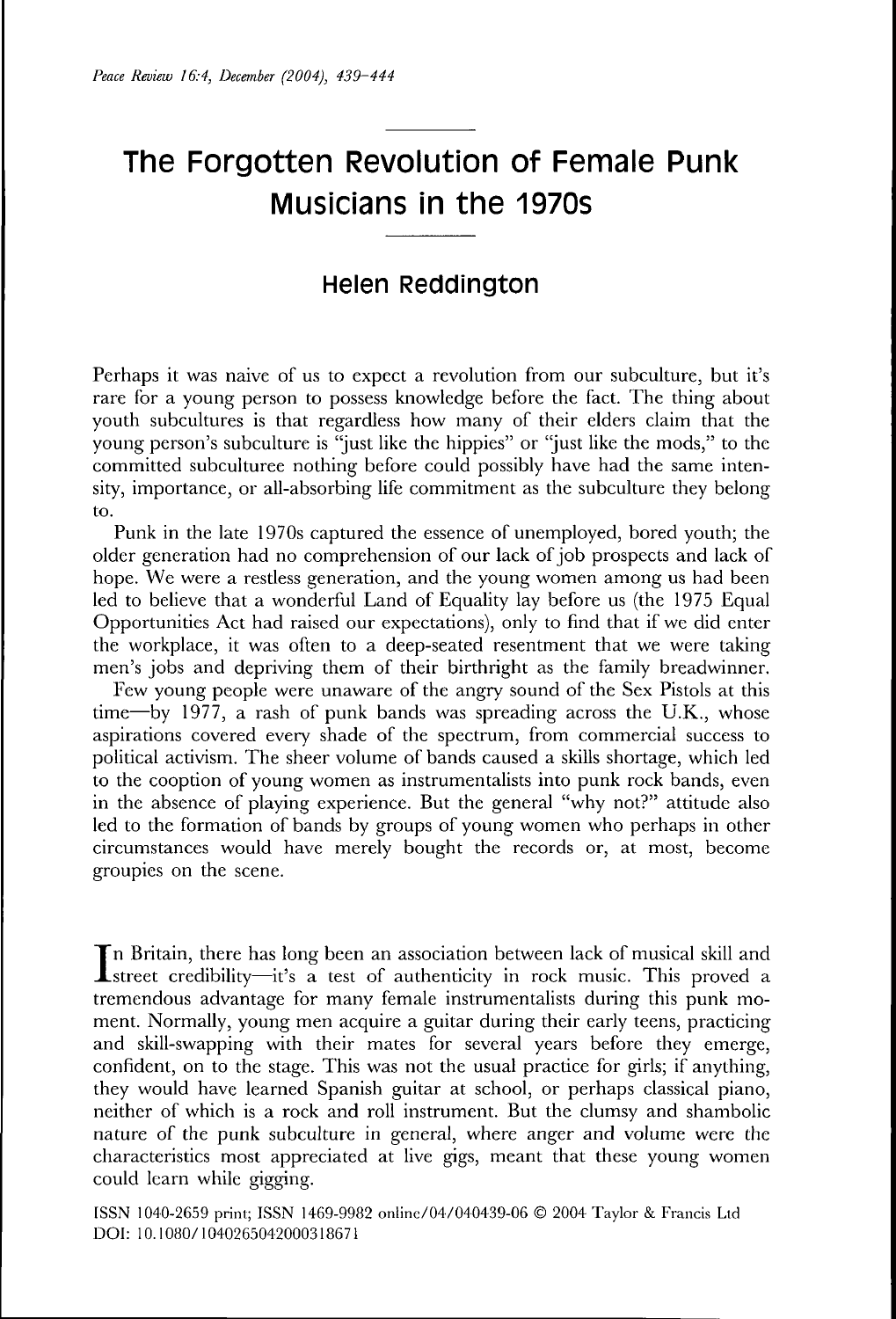## **The Forgotten Revolution of Female Punk Musicians in the 1970s**

## **Helen Reddington**

Perhaps it was naive of us to expect a revolution from our subculture, but it's rare for a young person to possess knowledge before the fact. The thing about youth subcultures is that regardless how many of their elders claim that the young person's subculture is "just like the hippies" or "just like the mods," to the committed subculturee nothing before could possibly have had the same intensity, importance, or all-absorbing life commitment as the subculture they belong to.

Punk in the late 1970s captured the essence of unemployed, bored youth; the older generation had no comprehension of our lack of job prospects and lack of hope. We were a restless generation, and the young women among us had been led to believe that a wonderful Land of Equality lay before us (the 1975 Equal Opportunities Act had raised our expectations), only to find that if we did enter the workplace, it was often to a deep-seated resentment that we were taking men's jobs and depriving them of their birthright as the family breadwinner.

Few young people were unaware of the angry sound of the Sex Pistols at this time—by 1977, a rash of punk bands was spreading across the U.K., whose aspirations covered every shade of the spectrum, from commercial success to political activism. The sheer volume of bands caused a skills shortage, which led to the cooption of young women as instrumentalists into punk rock bands, even in the absence of playing experience. But the general "why not?" attitude also led to the formation of bands by groups of young women who perhaps in other circumstances would have merely bought the records or, at most, become groupies on the scene.

In Britain, there has long been an association between lack of musical skill and street credibility—it's a test of authenticity in rock music. This proved a street credibility—it's a test of authenticity in rock music. This proved a tremendous advantage for many female instrumentalists during this punk moment. Normally, young men acquire a guitar during their early teens, practicing and skill-swapping with their mates for several years before they emerge, confident, on to the stage. This was not the usual practice for girls; if anything, they would have learned Spanish guitar at school, or perhaps classical piano, neither of which is a rock and roll instrument. But the clumsy and shambolic nature of the punk subculture in general, where anger and volume were the characteristics most appreciated at live gigs, meant that these young women could learn while gigging.

rSSN 1040-2659 print; ISSN 1469-9982 onlinc/04/040439-06 © 2004 Taylor & Francis Ltd DOI: 10.1080/1040265042000318671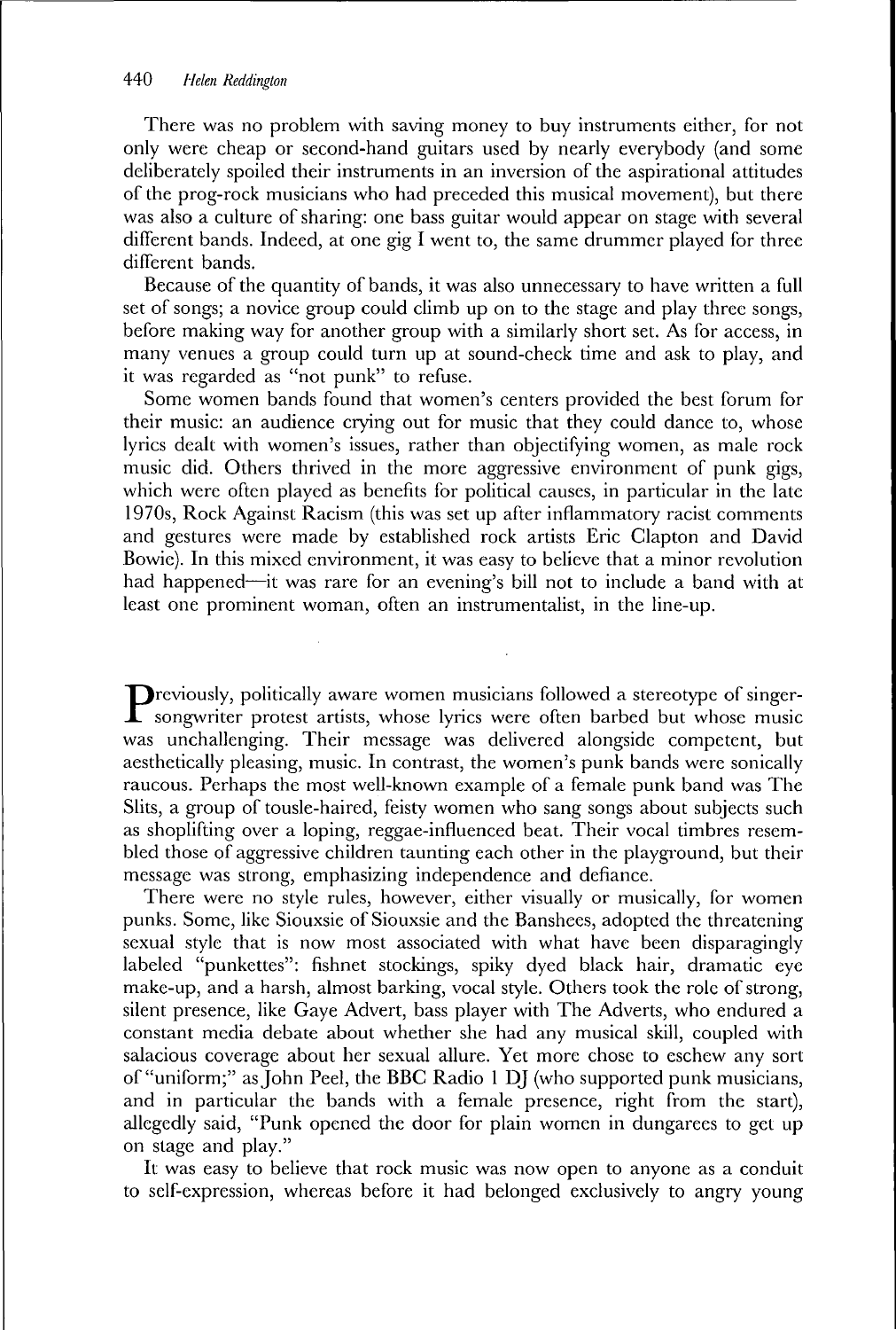There was no problem with saving money to buy instruments either, for not only were cheap or second-hand guitars used by nearly everybody (and some deliberately spoiled their instruments in an inversion of the aspirational attitudes of the prog-rock musicians who had preceded this musical movement), but there was also a culture of sharing: one bass guitar would appear on stage with several different bands. Indeed, at one gig I went to, the same drummer played for three different bands.

Because of the quantity of bands, it was also unnecessary to have written a full set of songs; a novice group could climb up on to the stage and play three songs, before making way for another group with a similarly short set. As for access, in many venues a group could turn up at sound-check time and ask to play, and it was regarded as "not punk" to refuse.

Some women bands found that women's centers provided the best forum for their music: an audience crying out for music that they could dance to, whose lyrics dealt with women's issues, rather than objectifying women, as male rock music did. Others thrived in the more aggressive environment of punk gigs, which were often played as benefits for political causes, in particular in the late 1970s, Rock Against Racism (this was set up after inflammatory racist comments and gestures were made by established rock artists Eric Clapton and David Bowie). In this mixed environment, it was easy to believe that a minor revolution had happened—it was rare for an evening's bill not to include a band with at least one prominent woman, often an instrumentalist, in the line-up.

Previously, politically aware women musicians followed a stereotype of singer-<br>songwriter protest artists, whose lyrics were often barbed but whose music songwriter protest artists, whose lyrics were often barbed but whose music was unchallenging. Their message was delivered alongside competent, but aesthetically pleasing, music. In contrast, the women's punk bands were sonieally raucous. Perhaps the most well-known example of a female punk band was The Slits, a group of tousle-haired, feisty women who sang songs about subjects such as shoplifting over a loping, reggae-influenced beat. Their vocal timbres resembled those of aggressive children taunting each other in the playground, but their message was strong, emphasizing independence and defiance.

There were no style rules, however, either visually or musically, for women punks. Some, like Siouxsie of Siouxsie and the Banshees, adopted the threatening sexual style that is now most assoeiated with what have been disparagingly labeled "punkettes": fishnet stockings, spiky dyed blaek hair, dramatic eye make-up, and a harsh, almost barking, vocal style. Others took the role of strong, silent presence, like Gaye Advert, bass player with The Adverts, who endured a constant media debate about whetlier she had any musical skill, coupled with salacious coverage about her sexual allure. Yet more chose to eschew any sort of "uniform;" as John Peel, the BBC Radio 1 DJ (who supported punk musicians, and in particular the bands with a female presence, right from the start), allegedly said, "Punk opened the door for plain women in dungarees to get up on stage and play."

It was easy to believe that rock music was now open to anyone as a conduit to self-expression, whereas before it had belonged exclusively to angry young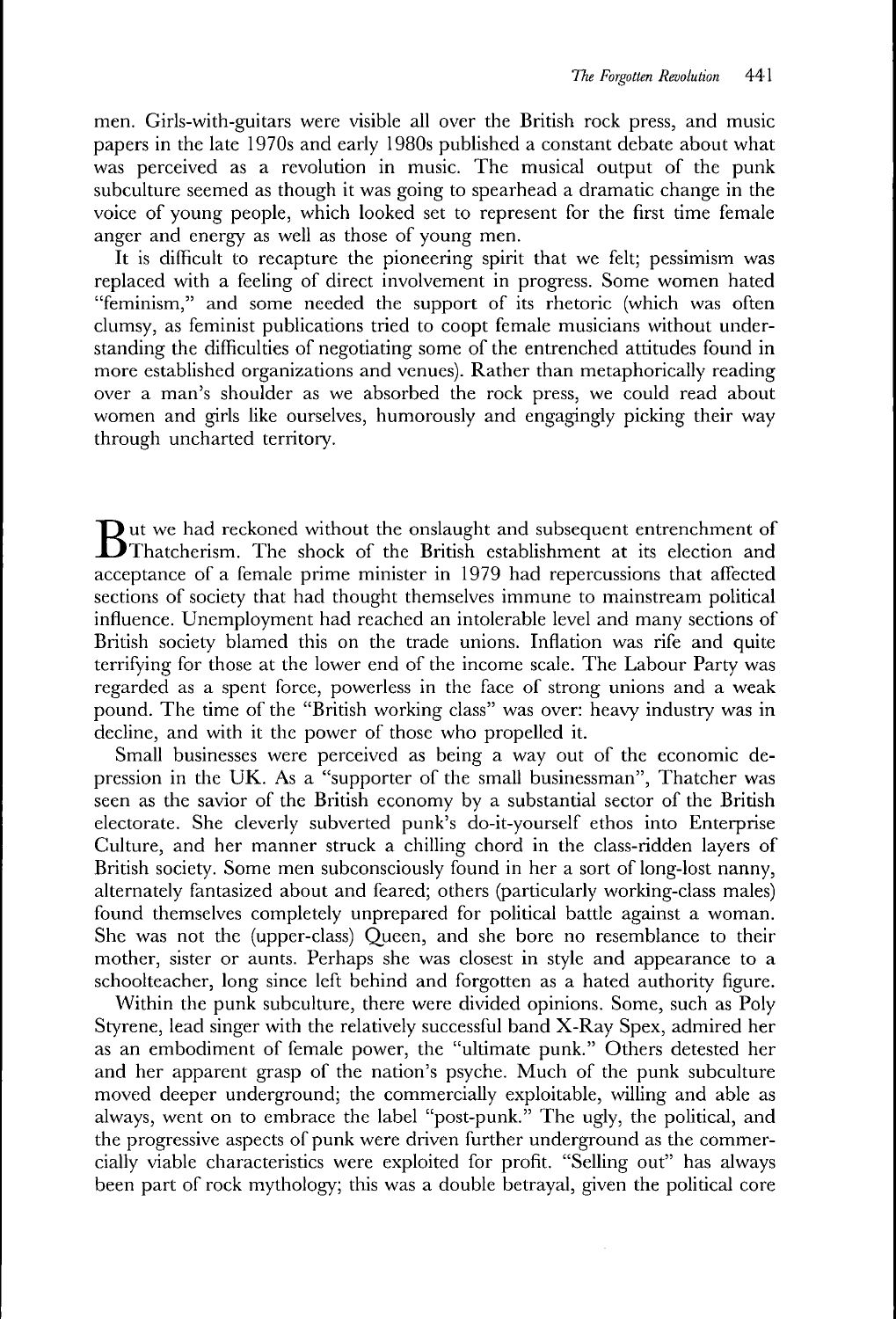men. Girls-with-guitars were visible all over the British rock press, and music papers in the late 1970s and early 1980s published a constant debate about what was perceived as a revolution in music. The musical output of the punk subculture seemed as though it was going to spearhead a dramatic change in the voice of young people, which looked set to represent for the first time female anger and energy as well as those of young men.

It is diffieult to recapture the pioneering spirit that we felt; pessimism was replaeed with a feeling of direet involvement in progress. Some women hated "feminism," and some needed the support of its rhetoric (which was often clumsy, as feminist publications tried to coopt female musicians without understanding the difficulties of negotiating some of the entrenched attitudes found in more established organizations and venues). Rather than metaphorically reading over a man's shoulder as we absorbed the rock press, we could read about women and girls like ourselves, humorously and engagingly picking their way through uncharted territory.

But we had reckoned without the onslaught and subsequent entrenchment of Thatcherism. The shock of the British establishment at its election and Thatcherism. The shock of the British establishment at its election and acceptance of a female prime minister in 1979 had repercussions that affected sections of society that had thought themselves immune to mainstream political influence. Unemployment had reached an intolerable level and many sections of British society blamed this on the trade unions. Inflation was rife and quite terrifying for those at the lower end of the income scale. The Labour Party was regarded as a spent force, powerless in the face of strong unions and a weak pound. The time of the "British working class" was over: heavy industry was in decline, and with it the power of those who propelled it.

Small businesses were perceived as being a way out of the economic depression in the UK. As a "supporter of the small businessman", Thatcher was seen as the savior of the British economy by a substantial sector of the British electorate. She cleverly subverted punk's do-it-yourself ethos into Enterprise Culture, and her manner struck a chilling chord in the class-ridden layers of British society. Some men subconsciously found in her a sort of long-lost nanny, alternately fantasized about and feared; others (partieularly working-class males) found themselves completely unprepared for political battle against a woman. She was not the (upper-class) Queen, and she bore no resemblance to their mother, sister or aunts. Perhaps she was closest in style and appearance to a schoolteacher, long since left behind and forgotten as a hated authority figure.

Within the punk subculture, there were divided opinions. Some, such as Poly Styrene, lead singer with the relatively successful band X-Ray Spex, admired her as an embodiment of female power, the "ultimate punk." Others detested her and her apparent grasp of the nation's psyche. Much of the punk subculture moved deeper underground; the commereially exploitable, willing and able as always, went on to embrace the label "post-punk." The ugly, the political, and the progressive aspects of punk were driven further underground as the commercially viable characteristics were exploited for profit. "Selling out" has always been part of rock mythology; this was a double betrayal, given the political core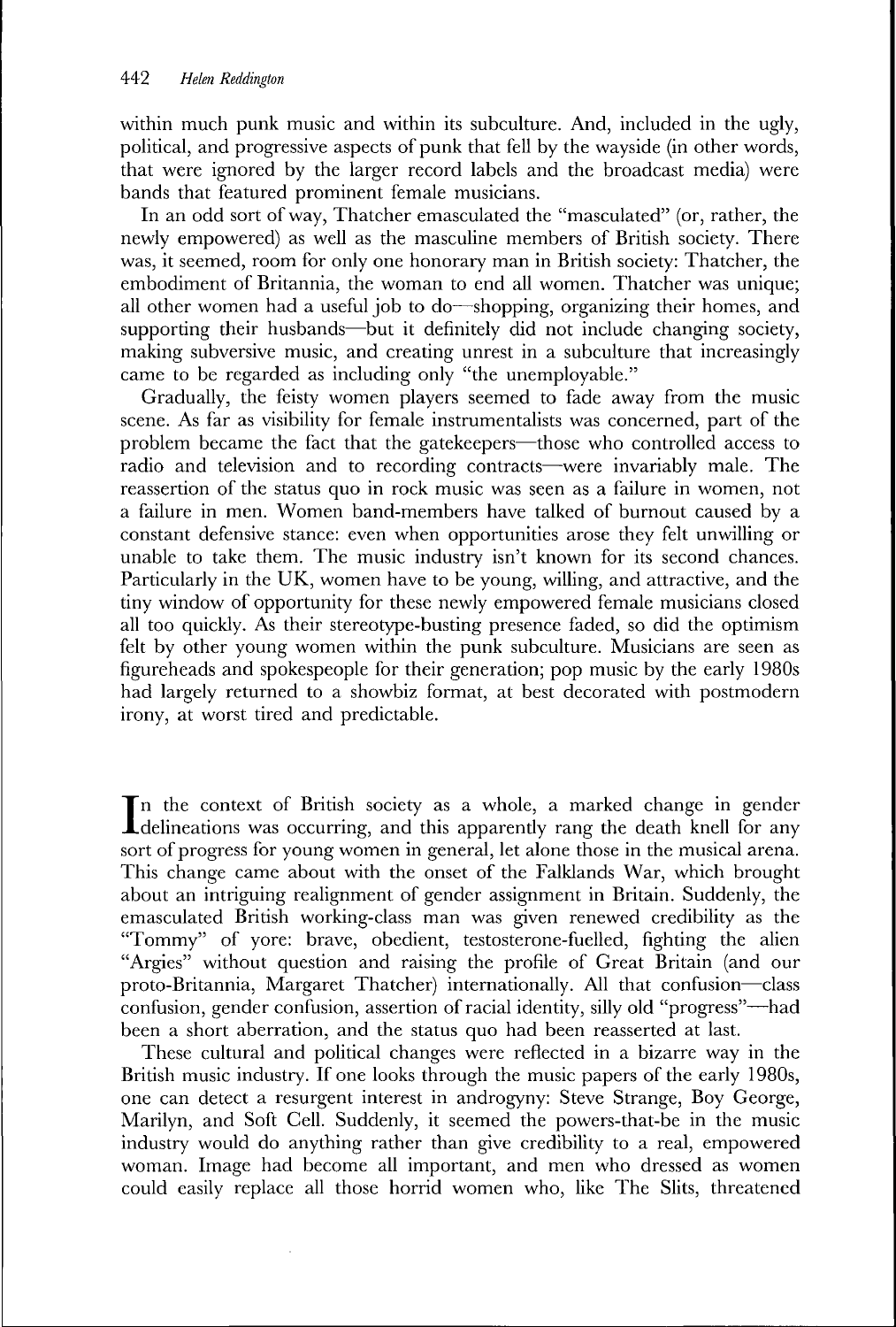within much punk music and within its subculture. And, included in the ugly, political, and progressive aspects of punk that fell by the wayside (in other words, that were ignored by the larger record labels and the broadcast media) were bands that featured prominent female musicians.

In an odd sort of way, Thatcher emasculated the "masculated" (or, rather, the newly empowered) as well as the masculine members of British society. There was, it seemed, room for only one honorary man in British society: Thatcher, the embodiment of Britannia, the woman to end all women. Thatcher was unique; all other women had a useful job to do—shopping, organizing their homes, and supporting their husbands—but it definitely did not include changing society, making subversive music, and creating unrest in a subculture that increasingly came to be regarded as including only "the unemployable."

Gradually, the feisty women players seemed to fade away from the music scene. As far as visibility for female instrumentalists was concerned, part of the problem became the fact that the gatekeepers—those who controlled access to radio and television and to recording contracts—were invariably male. The reassertion of the status quo in rock music was seen as a failure in women, not a failure in men. Women band-members have talked of burnout caused by a constant defensive stance: even when opportunities arose they felt unwilling or unable to take them. The music industry isn't known for its second chances. Particularly in the UK, women have to be young, willing, and attractive, and the tiny window of opportunity for these newly empowered female musicians closed all too quickly. As their stereotype-busting presence faded, so did the optimism felt by other young women within the punk subculture. Musicians are seen as figureheads and spokespeople for their generation; pop music by the early 1980s had largely returned to a showbiz format, at best decorated with postmodern irony, at worst tired and predictable.

In the context of British society as a whole, a marked change in gender delineations was occurring, and this apparently rang the death knell for any delineations was occurring, and this apparently rang the death knell for any sort of progress for young women in general, let alone those in the musical arena. This change eame about with the onset of the Falklands War, which brought about an intriguing realignment of gender assignment in Britain. Suddenly, the emasculated British working-class man was given renewed credibility as the "Tommy" of yore: brave, obedient, testosterone-fuelled, fighting the alien "Argies" without question and raising the profile of Great Britain (and our proto-Britannia, Margaret Thatcher) internationally. All that confusion—class confusion, gender confusion, assertion of racial identity, silly old "progress"—had been a short aberration, and the status quo had been reasserted at last.

These cultural and political changes were reflected in a bizarre way in the British music industry. If one looks through the music papers of the early 1980s, one can detect a resurgent interest in androgyny: Steve Strange, Boy George, Marilyn, and Soft Cell. Suddenly, it seemed the powers-that-be in the music industry would do anything rather than give credibility to a real, empowered woman. Image had become all important, and men who dressed as women could easily replace all those horrid women who, like The Slits, threatened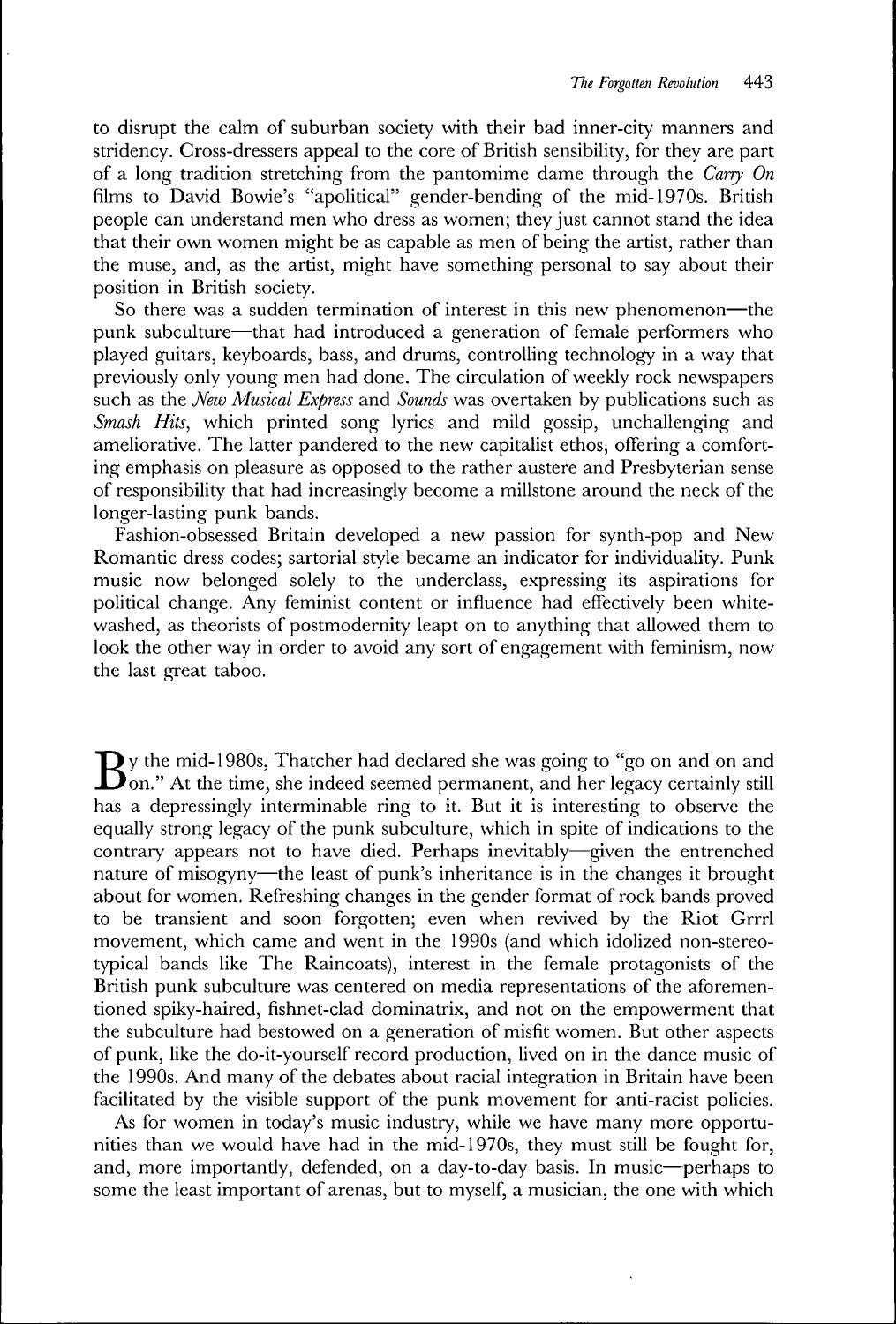to disrupt the calm of suburban society with their bad inner-city manners and stridency. Cross-dressers appeal to the core of British sensibility, for they are part of a long tradition stretching from the pantomime dame through the *Carry On* films to David Bowie's "apolitical" gender-bending of the mid-1970s. British people can understand men who dress as women; they just cannot stand the idea that their own women might be as capable as men of being the artist, rather than the muse, and, as the artist, might have something personal to say about their position in British society.

So there was a sudden termination of interest in this new phenomenon—the punk subculture—that had introduced a generation of female performers who played guitars, keyboards, bass, and drums, controlling technology in a way that previously only young men had done. The circulation of weekly rock newspapers such as the *New Musical Express* and *Sounds* was overtaken by publications such as *Smash Hits,* which printed song lyrics and mild gossip, unchallenging and ameliorative. The latter pandered to the new capitalist ethos, offering a comforting emphasis on pleasure as opposed to the rather austere and Presbyterian sense of responsibility that had increasingly become a millstone around the neck of the longer-lasting punk bands.

Fashion-obsessed Britain developed a new passion for synth-pop and New Romantic dress codes; sartorial style became an indicator for individuality. Punk music now belonged solely to the underclass, expressing its aspirations for political change. Any feminist content or infiuence had effectively been whitewashed, as theorists of postmodernity leapt on to anything that allowed them to look the other way in order to avoid any sort of engagement with feminism, now the last great taboo.

By the mid-1980s, Thatcher had declared she was going to "go on and on and  $\mathbf{b}$  an." At the time, she indeed seemed permanent, and her legacy certainly still on." At the time, she indeed seemed permanent, and her legacy certainly still has a depressingly interminable ring to it. But it is interesting to observe the equally strong legacy of the punk subculture, which in spite of indications to the contrary appears not to have died. Perhaps inevitably—given the entrenched nature of misogyny—the least of punk's inheritance is in the changes it brought about for women. Refreshing changes in the gender format of rock bands proved to be transient and soon forgotten; even when revived by the Riot Grrrl movement, which came and went in the 1990s (and which idolized non-stereotypical bands like The Raincoats), interest in the female protagonists of the British punk subculture was centered on media representations of the aforementioned spiky-haired, fishnet-clad dominatrix, and not on the empowerment that the subculture had bestowed on a generation of misfit women. But other aspects of punk, like the do-it-yourself record production, lived on in the dance music of the 1990s. And many of the debates about racial integration in Britain have been facilitated by the visible support of the punk movement for anti-racist policies.

As for women in today's music industry, while we have many more opportunities than we would have had in the mid-1970s, they must still be fought for, and, more importantly, defended, on a day-to-day basis. In music—perhaps to some the least important of arenas, but to myself, a musician, the one with which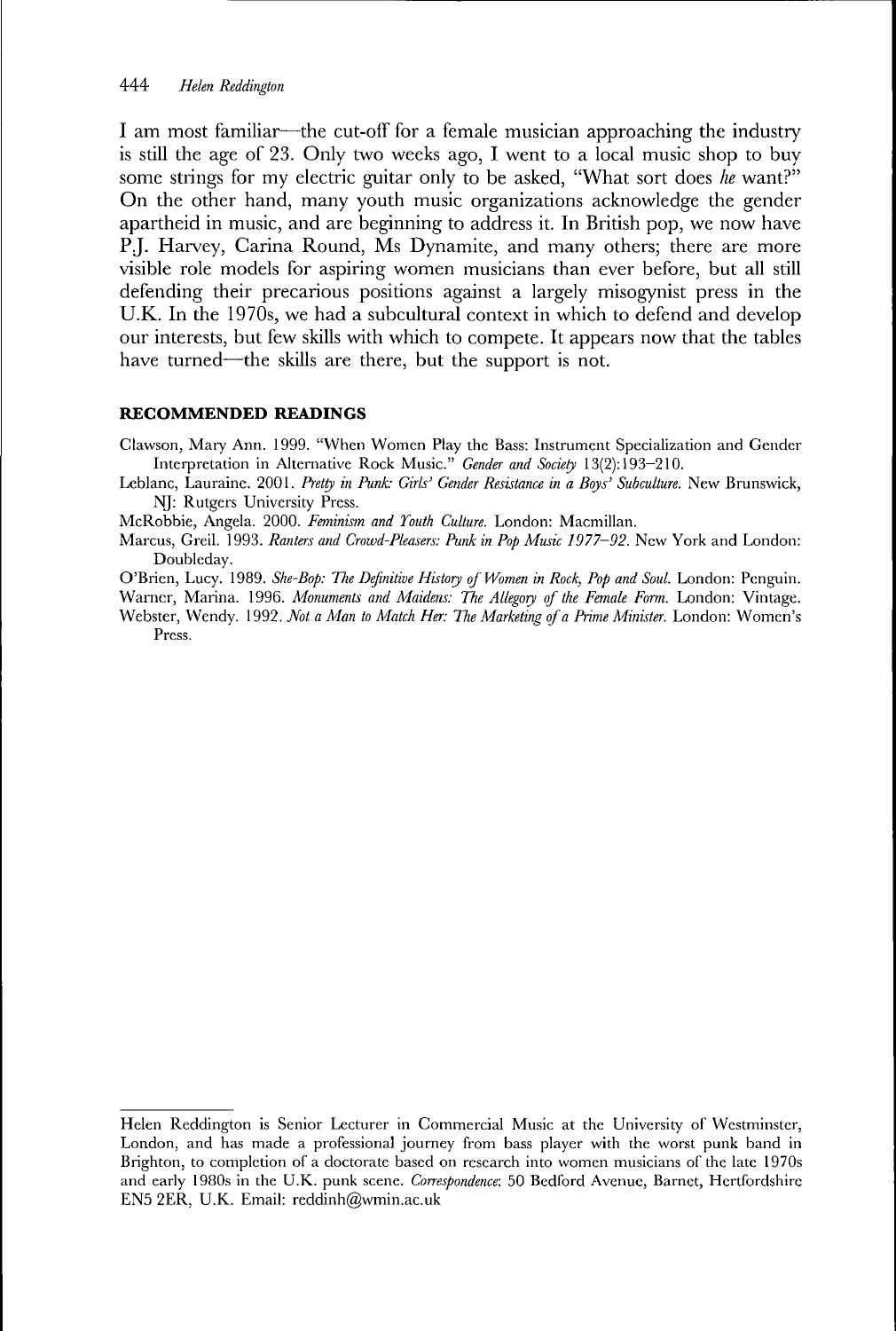I am most familiar—the cut-off for a female musician approaching the industry is still the age of 23. Only two weeks ago, I went to a local music shop to buy some strings for my electric guitar only to be asked, "What sort does *he* want?" On the other hand, many youth music organizations acknowledge the gender apartheid in musie, and are beginning to address it. In British pop, we now have PJ. Harvey, Carina Round, Ms Dynamite, and many others; there are more visible role models for aspiring women musicians than ever before, but all still defending their precarious positions against a largely misogynist press in the U.K. In the 1970s, we had a subcultural context in which to defend and develop our interests, but few skills with which to compete. It appears now that the tables have turned—the skills are there, but the support is not.

## **RECOMMENDED READINGS**

- Clawson, Mary Ann. 1999. "When Women Play the Bass: Instrument Specialization and Gender Interpretation in Alternative Rock Music." *Gender and Society* 13(2): 193-210.
- Leblanc, Lauraine. 2001. *Pretty in Punk: Girts' Gender Resistance in a Boys' Subculture.* New Brunswick, NI: Rutgers University Press.

McRobbie, Angela. 2000. *Feminism and Touth Gulture.* London: Macmillan.

- Marcus, Greil. 1993. *Ranters and Growd-Pteasers: Punk in Pop Music J977-92.* New York and London: Doubleday.
- O'Brien, Lucy. 1989. *She-Bop: The Definitive History of Women in Rock, Pop and Soul.* London: Penguin.
- Warner, Marina. 1996. *Monuments and Maidens: The Allegory ofthe Female Form.* London: Vintage.
- Webster, Wendy. 1992. *Not a Man to Match Her: The Marketing ofa Prime Minister.* London: Women's Press.

Helen Reddington is Senior Lecturer in Commercial Music at the University of Westminster, London, and has made a professional journey from bass player with the worst punk band in Brighton, to completion of a doctorate based on research into women musicians of the late 1970s and early 1980s in the U.K. punk scene. *Gorrespondence:* 50 Bedford Avenue, Barnet, Hertfordshire EN5 2ER, U.K. Email: reddinh@wmin.ac.uk